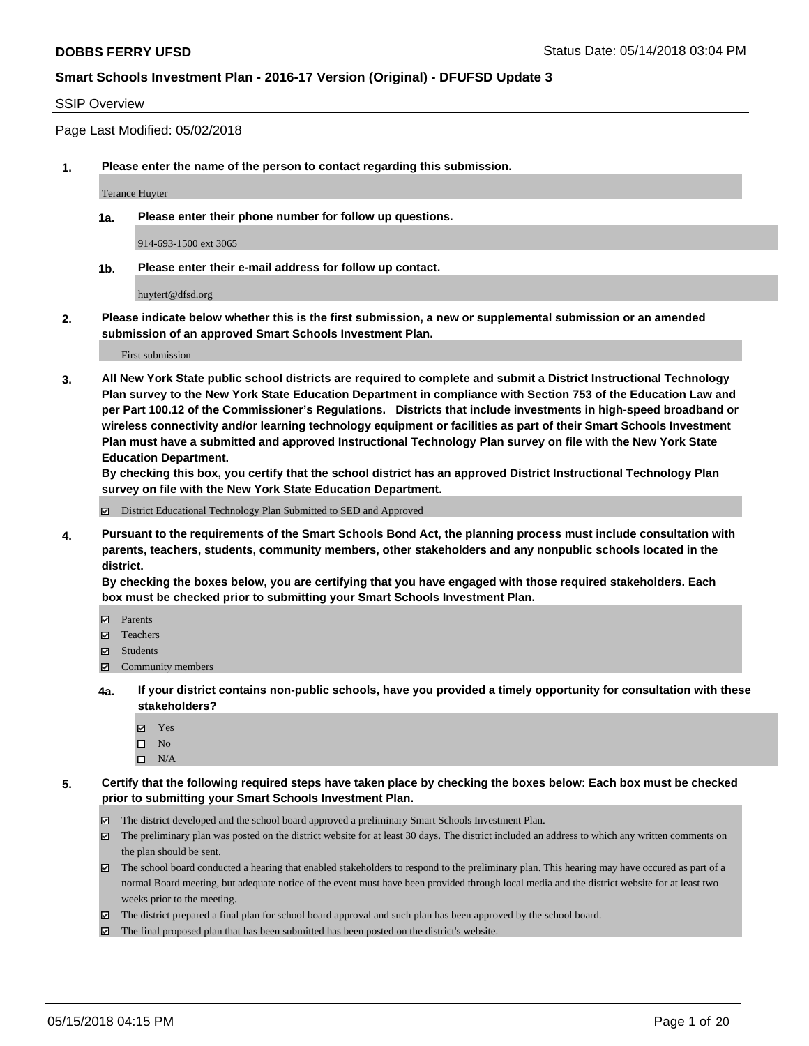#### SSIP Overview

Page Last Modified: 05/02/2018

**1. Please enter the name of the person to contact regarding this submission.**

Terance Huyter

**1a. Please enter their phone number for follow up questions.**

914-693-1500 ext 3065

**1b. Please enter their e-mail address for follow up contact.**

huytert@dfsd.org

**2. Please indicate below whether this is the first submission, a new or supplemental submission or an amended submission of an approved Smart Schools Investment Plan.**

First submission

**3. All New York State public school districts are required to complete and submit a District Instructional Technology Plan survey to the New York State Education Department in compliance with Section 753 of the Education Law and per Part 100.12 of the Commissioner's Regulations. Districts that include investments in high-speed broadband or wireless connectivity and/or learning technology equipment or facilities as part of their Smart Schools Investment Plan must have a submitted and approved Instructional Technology Plan survey on file with the New York State Education Department.** 

**By checking this box, you certify that the school district has an approved District Instructional Technology Plan survey on file with the New York State Education Department.**

District Educational Technology Plan Submitted to SED and Approved

**4. Pursuant to the requirements of the Smart Schools Bond Act, the planning process must include consultation with parents, teachers, students, community members, other stakeholders and any nonpublic schools located in the district.** 

**By checking the boxes below, you are certifying that you have engaged with those required stakeholders. Each box must be checked prior to submitting your Smart Schools Investment Plan.**

- Parents
- Teachers
- Students
- Community members
- **4a. If your district contains non-public schools, have you provided a timely opportunity for consultation with these stakeholders?**
	- Yes
	- $\square$  No
	- $\square$  N/A
- **5. Certify that the following required steps have taken place by checking the boxes below: Each box must be checked prior to submitting your Smart Schools Investment Plan.**
	- The district developed and the school board approved a preliminary Smart Schools Investment Plan.
	- $\boxtimes$  The preliminary plan was posted on the district website for at least 30 days. The district included an address to which any written comments on the plan should be sent.
	- $\boxtimes$  The school board conducted a hearing that enabled stakeholders to respond to the preliminary plan. This hearing may have occured as part of a normal Board meeting, but adequate notice of the event must have been provided through local media and the district website for at least two weeks prior to the meeting.
	- The district prepared a final plan for school board approval and such plan has been approved by the school board.
	- $\boxtimes$  The final proposed plan that has been submitted has been posted on the district's website.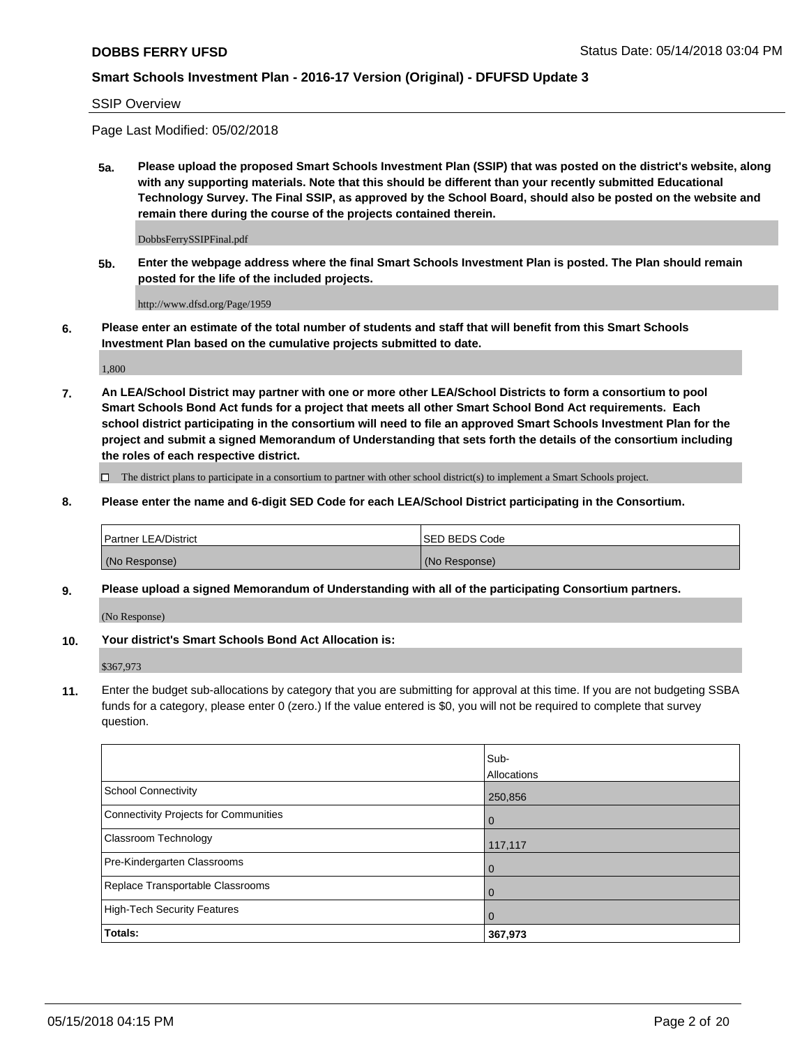SSIP Overview

Page Last Modified: 05/02/2018

**5a. Please upload the proposed Smart Schools Investment Plan (SSIP) that was posted on the district's website, along with any supporting materials. Note that this should be different than your recently submitted Educational Technology Survey. The Final SSIP, as approved by the School Board, should also be posted on the website and remain there during the course of the projects contained therein.**

DobbsFerrySSIPFinal.pdf

**5b. Enter the webpage address where the final Smart Schools Investment Plan is posted. The Plan should remain posted for the life of the included projects.**

http://www.dfsd.org/Page/1959

**6. Please enter an estimate of the total number of students and staff that will benefit from this Smart Schools Investment Plan based on the cumulative projects submitted to date.**

1,800

**7. An LEA/School District may partner with one or more other LEA/School Districts to form a consortium to pool Smart Schools Bond Act funds for a project that meets all other Smart School Bond Act requirements. Each school district participating in the consortium will need to file an approved Smart Schools Investment Plan for the project and submit a signed Memorandum of Understanding that sets forth the details of the consortium including the roles of each respective district.**

 $\Box$  The district plans to participate in a consortium to partner with other school district(s) to implement a Smart Schools project.

**8. Please enter the name and 6-digit SED Code for each LEA/School District participating in the Consortium.**

| <b>Partner LEA/District</b> | <b>ISED BEDS Code</b> |
|-----------------------------|-----------------------|
| (No Response)               | (No Response)         |

#### **9. Please upload a signed Memorandum of Understanding with all of the participating Consortium partners.**

(No Response)

**10. Your district's Smart Schools Bond Act Allocation is:**

\$367,973

**11.** Enter the budget sub-allocations by category that you are submitting for approval at this time. If you are not budgeting SSBA funds for a category, please enter 0 (zero.) If the value entered is \$0, you will not be required to complete that survey question.

|                                       | Sub-           |
|---------------------------------------|----------------|
|                                       | Allocations    |
| School Connectivity                   | 250,856        |
| Connectivity Projects for Communities | $\overline{0}$ |
| <b>Classroom Technology</b>           | 117,117        |
| Pre-Kindergarten Classrooms           | $\overline{0}$ |
| Replace Transportable Classrooms      | $\mathbf 0$    |
| High-Tech Security Features           | $\overline{0}$ |
| Totals:                               | 367,973        |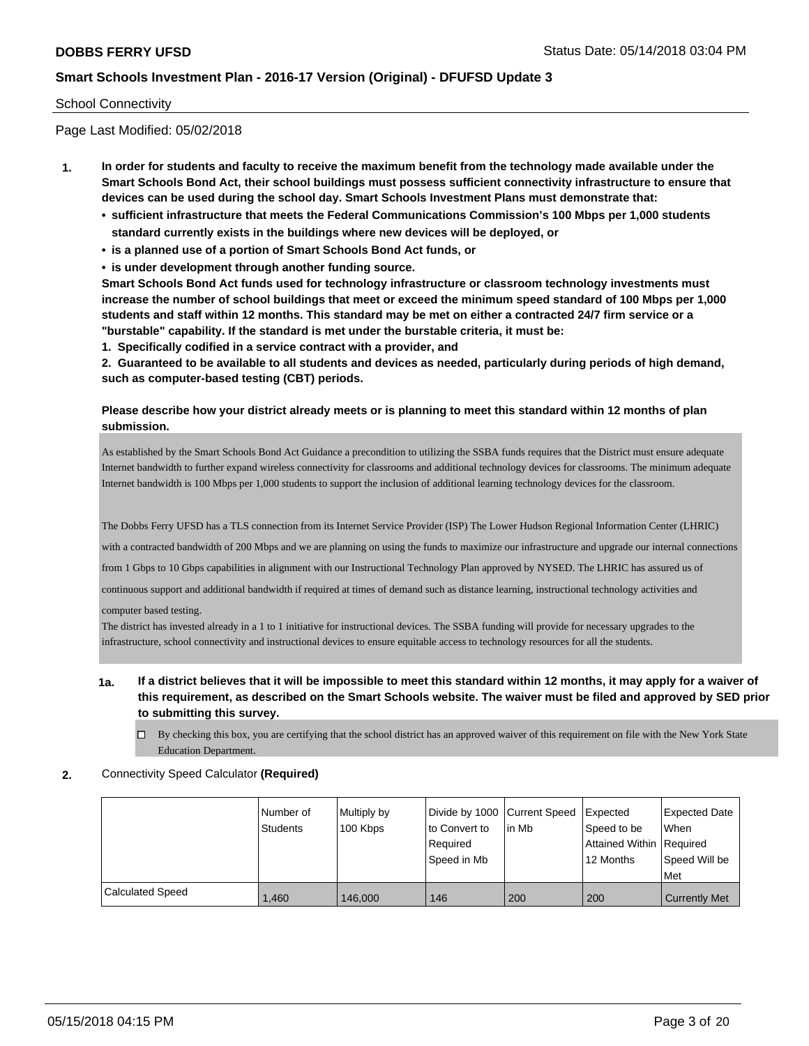#### School Connectivity

Page Last Modified: 05/02/2018

- **1. In order for students and faculty to receive the maximum benefit from the technology made available under the Smart Schools Bond Act, their school buildings must possess sufficient connectivity infrastructure to ensure that devices can be used during the school day. Smart Schools Investment Plans must demonstrate that:**
	- **• sufficient infrastructure that meets the Federal Communications Commission's 100 Mbps per 1,000 students standard currently exists in the buildings where new devices will be deployed, or**
	- **• is a planned use of a portion of Smart Schools Bond Act funds, or**
	- **• is under development through another funding source.**

**Smart Schools Bond Act funds used for technology infrastructure or classroom technology investments must increase the number of school buildings that meet or exceed the minimum speed standard of 100 Mbps per 1,000 students and staff within 12 months. This standard may be met on either a contracted 24/7 firm service or a "burstable" capability. If the standard is met under the burstable criteria, it must be:**

**1. Specifically codified in a service contract with a provider, and**

**2. Guaranteed to be available to all students and devices as needed, particularly during periods of high demand, such as computer-based testing (CBT) periods.**

#### **Please describe how your district already meets or is planning to meet this standard within 12 months of plan submission.**

As established by the Smart Schools Bond Act Guidance a precondition to utilizing the SSBA funds requires that the District must ensure adequate Internet bandwidth to further expand wireless connectivity for classrooms and additional technology devices for classrooms. The minimum adequate Internet bandwidth is 100 Mbps per 1,000 students to support the inclusion of additional learning technology devices for the classroom.

The Dobbs Ferry UFSD has a TLS connection from its Internet Service Provider (ISP) The Lower Hudson Regional Information Center (LHRIC)

with a contracted bandwidth of 200 Mbps and we are planning on using the funds to maximize our infrastructure and upgrade our internal connections

from 1 Gbps to 10 Gbps capabilities in alignment with our Instructional Technology Plan approved by NYSED. The LHRIC has assured us of

continuous support and additional bandwidth if required at times of demand such as distance learning, instructional technology activities and

computer based testing.

The district has invested already in a 1 to 1 initiative for instructional devices. The SSBA funding will provide for necessary upgrades to the infrastructure, school connectivity and instructional devices to ensure equitable access to technology resources for all the students.

- **1a. If a district believes that it will be impossible to meet this standard within 12 months, it may apply for a waiver of this requirement, as described on the Smart Schools website. The waiver must be filed and approved by SED prior to submitting this survey.**
	- $\Box$  By checking this box, you are certifying that the school district has an approved waiver of this requirement on file with the New York State Education Department.
- **2.** Connectivity Speed Calculator **(Required)**

|                  | Number of<br><b>Students</b> | Multiply by<br>100 Kbps | Divide by 1000 Current Speed<br>to Convert to<br>Required<br>Speed in Mb | lin Mb | Expected<br>Speed to be<br>Attained Within   Required<br>12 Months | <b>Expected Date</b><br>When<br>Speed Will be<br>Met |
|------------------|------------------------------|-------------------------|--------------------------------------------------------------------------|--------|--------------------------------------------------------------------|------------------------------------------------------|
| Calculated Speed | 1.460                        | 146,000                 | 146                                                                      | 200    | 200                                                                | <b>Currently Met</b>                                 |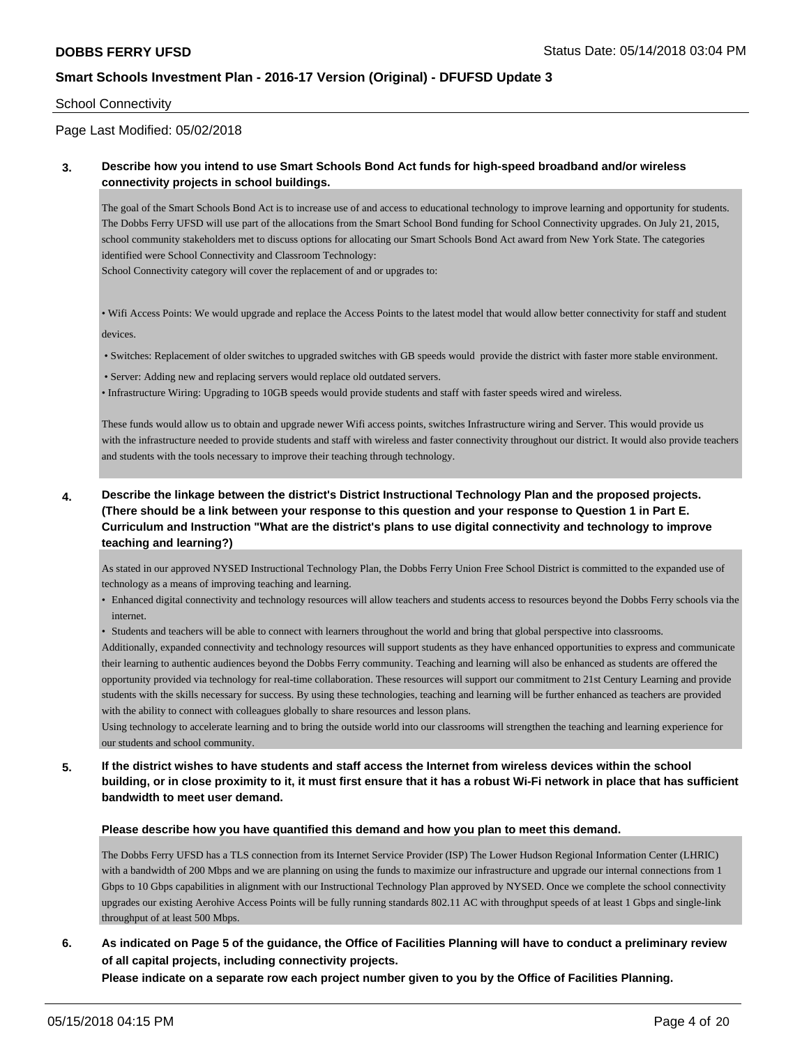#### School Connectivity

## Page Last Modified: 05/02/2018

### **3. Describe how you intend to use Smart Schools Bond Act funds for high-speed broadband and/or wireless connectivity projects in school buildings.**

The goal of the Smart Schools Bond Act is to increase use of and access to educational technology to improve learning and opportunity for students. The Dobbs Ferry UFSD will use part of the allocations from the Smart School Bond funding for School Connectivity upgrades. On July 21, 2015, school community stakeholders met to discuss options for allocating our Smart Schools Bond Act award from New York State. The categories identified were School Connectivity and Classroom Technology:

School Connectivity category will cover the replacement of and or upgrades to:

• Wifi Access Points: We would upgrade and replace the Access Points to the latest model that would allow better connectivity for staff and student devices.

• Switches: Replacement of older switches to upgraded switches with GB speeds would provide the district with faster more stable environment.

• Server: Adding new and replacing servers would replace old outdated servers.

• Infrastructure Wiring: Upgrading to 10GB speeds would provide students and staff with faster speeds wired and wireless.

These funds would allow us to obtain and upgrade newer Wifi access points, switches Infrastructure wiring and Server. This would provide us with the infrastructure needed to provide students and staff with wireless and faster connectivity throughout our district. It would also provide teachers and students with the tools necessary to improve their teaching through technology.

**4. Describe the linkage between the district's District Instructional Technology Plan and the proposed projects. (There should be a link between your response to this question and your response to Question 1 in Part E. Curriculum and Instruction "What are the district's plans to use digital connectivity and technology to improve teaching and learning?)**

As stated in our approved NYSED Instructional Technology Plan, the Dobbs Ferry Union Free School District is committed to the expanded use of technology as a means of improving teaching and learning.

• Enhanced digital connectivity and technology resources will allow teachers and students access to resources beyond the Dobbs Ferry schools via the internet.

• Students and teachers will be able to connect with learners throughout the world and bring that global perspective into classrooms.

Additionally, expanded connectivity and technology resources will support students as they have enhanced opportunities to express and communicate their learning to authentic audiences beyond the Dobbs Ferry community. Teaching and learning will also be enhanced as students are offered the opportunity provided via technology for real-time collaboration. These resources will support our commitment to 21st Century Learning and provide students with the skills necessary for success. By using these technologies, teaching and learning will be further enhanced as teachers are provided with the ability to connect with colleagues globally to share resources and lesson plans.

Using technology to accelerate learning and to bring the outside world into our classrooms will strengthen the teaching and learning experience for our students and school community.

**5. If the district wishes to have students and staff access the Internet from wireless devices within the school building, or in close proximity to it, it must first ensure that it has a robust Wi-Fi network in place that has sufficient bandwidth to meet user demand.**

#### **Please describe how you have quantified this demand and how you plan to meet this demand.**

The Dobbs Ferry UFSD has a TLS connection from its Internet Service Provider (ISP) The Lower Hudson Regional Information Center (LHRIC) with a bandwidth of 200 Mbps and we are planning on using the funds to maximize our infrastructure and upgrade our internal connections from 1 Gbps to 10 Gbps capabilities in alignment with our Instructional Technology Plan approved by NYSED. Once we complete the school connectivity upgrades our existing Aerohive Access Points will be fully running standards 802.11 AC with throughput speeds of at least 1 Gbps and single-link throughput of at least 500 Mbps.

# **6. As indicated on Page 5 of the guidance, the Office of Facilities Planning will have to conduct a preliminary review of all capital projects, including connectivity projects.**

**Please indicate on a separate row each project number given to you by the Office of Facilities Planning.**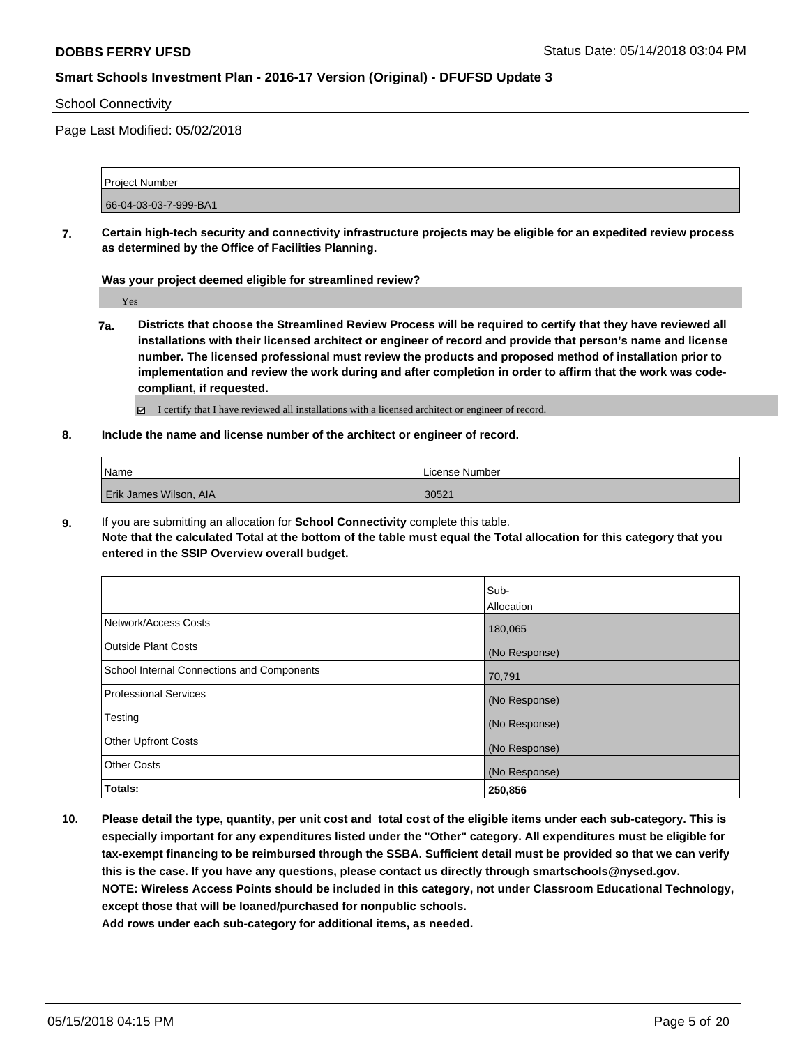#### School Connectivity

Page Last Modified: 05/02/2018

Project Number 66-04-03-03-7-999-BA1

**7. Certain high-tech security and connectivity infrastructure projects may be eligible for an expedited review process as determined by the Office of Facilities Planning.**

**Was your project deemed eligible for streamlined review?**

Yes

- **7a. Districts that choose the Streamlined Review Process will be required to certify that they have reviewed all installations with their licensed architect or engineer of record and provide that person's name and license number. The licensed professional must review the products and proposed method of installation prior to implementation and review the work during and after completion in order to affirm that the work was codecompliant, if requested.**
	- I certify that I have reviewed all installations with a licensed architect or engineer of record.
- **8. Include the name and license number of the architect or engineer of record.**

| Name                   | l License Number |
|------------------------|------------------|
| Erik James Wilson, AIA | 30521            |

**9.** If you are submitting an allocation for **School Connectivity** complete this table.

**Note that the calculated Total at the bottom of the table must equal the Total allocation for this category that you entered in the SSIP Overview overall budget.** 

|                                                   | Sub-          |
|---------------------------------------------------|---------------|
|                                                   | Allocation    |
| Network/Access Costs                              | 180,065       |
| Outside Plant Costs                               | (No Response) |
| <b>School Internal Connections and Components</b> | 70,791        |
| <b>Professional Services</b>                      | (No Response) |
| Testing                                           | (No Response) |
| <b>Other Upfront Costs</b>                        | (No Response) |
| <b>Other Costs</b>                                | (No Response) |
| Totals:                                           | 250,856       |

**10. Please detail the type, quantity, per unit cost and total cost of the eligible items under each sub-category. This is especially important for any expenditures listed under the "Other" category. All expenditures must be eligible for tax-exempt financing to be reimbursed through the SSBA. Sufficient detail must be provided so that we can verify this is the case. If you have any questions, please contact us directly through smartschools@nysed.gov. NOTE: Wireless Access Points should be included in this category, not under Classroom Educational Technology, except those that will be loaned/purchased for nonpublic schools. Add rows under each sub-category for additional items, as needed.**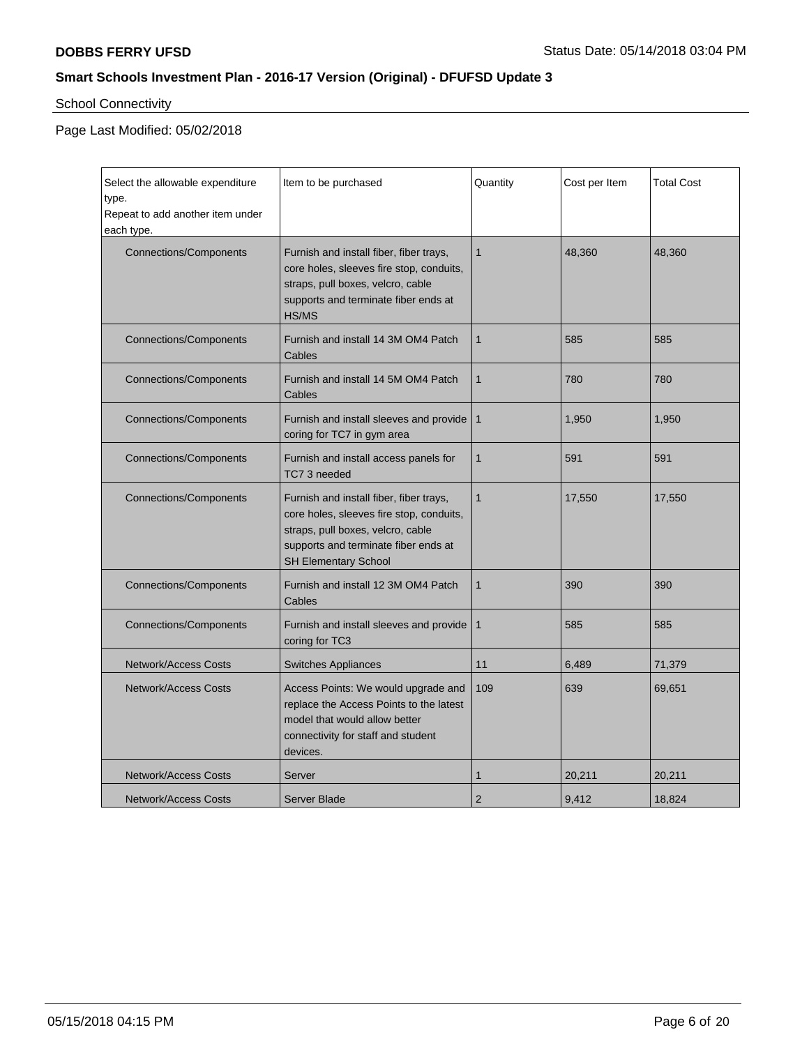## School Connectivity

| Select the allowable expenditure<br>type.<br>Repeat to add another item under<br>each type. | Item to be purchased                                                                                                                                                                     | Quantity       | Cost per Item | <b>Total Cost</b> |
|---------------------------------------------------------------------------------------------|------------------------------------------------------------------------------------------------------------------------------------------------------------------------------------------|----------------|---------------|-------------------|
| <b>Connections/Components</b>                                                               | Furnish and install fiber, fiber trays,<br>core holes, sleeves fire stop, conduits,<br>straps, pull boxes, velcro, cable<br>supports and terminate fiber ends at<br>HS/MS                | $\mathbf{1}$   | 48,360        | 48,360            |
| <b>Connections/Components</b>                                                               | Furnish and install 14 3M OM4 Patch<br>Cables                                                                                                                                            | $\mathbf{1}$   | 585           | 585               |
| <b>Connections/Components</b>                                                               | Furnish and install 14 5M OM4 Patch<br>Cables                                                                                                                                            | $\mathbf{1}$   | 780           | 780               |
| <b>Connections/Components</b>                                                               | Furnish and install sleeves and provide<br>coring for TC7 in gym area                                                                                                                    | $\mathbf{1}$   | 1,950         | 1,950             |
| <b>Connections/Components</b>                                                               | Furnish and install access panels for<br>TC7 3 needed                                                                                                                                    | $\mathbf{1}$   | 591           | 591               |
| <b>Connections/Components</b>                                                               | Furnish and install fiber, fiber trays,<br>core holes, sleeves fire stop, conduits,<br>straps, pull boxes, velcro, cable<br>supports and terminate fiber ends at<br>SH Elementary School | $\mathbf{1}$   | 17,550        | 17,550            |
| <b>Connections/Components</b>                                                               | Furnish and install 12 3M OM4 Patch<br>Cables                                                                                                                                            | $\mathbf{1}$   | 390           | 390               |
| <b>Connections/Components</b>                                                               | Furnish and install sleeves and provide<br>coring for TC3                                                                                                                                | $\mathbf{1}$   | 585           | 585               |
| <b>Network/Access Costs</b>                                                                 | <b>Switches Appliances</b>                                                                                                                                                               | 11             | 6,489         | 71,379            |
| <b>Network/Access Costs</b>                                                                 | Access Points: We would upgrade and<br>replace the Access Points to the latest<br>model that would allow better<br>connectivity for staff and student<br>devices.                        | 109            | 639           | 69,651            |
| <b>Network/Access Costs</b>                                                                 | Server                                                                                                                                                                                   | 1              | 20,211        | 20,211            |
| <b>Network/Access Costs</b>                                                                 | <b>Server Blade</b>                                                                                                                                                                      | $\overline{2}$ | 9,412         | 18.824            |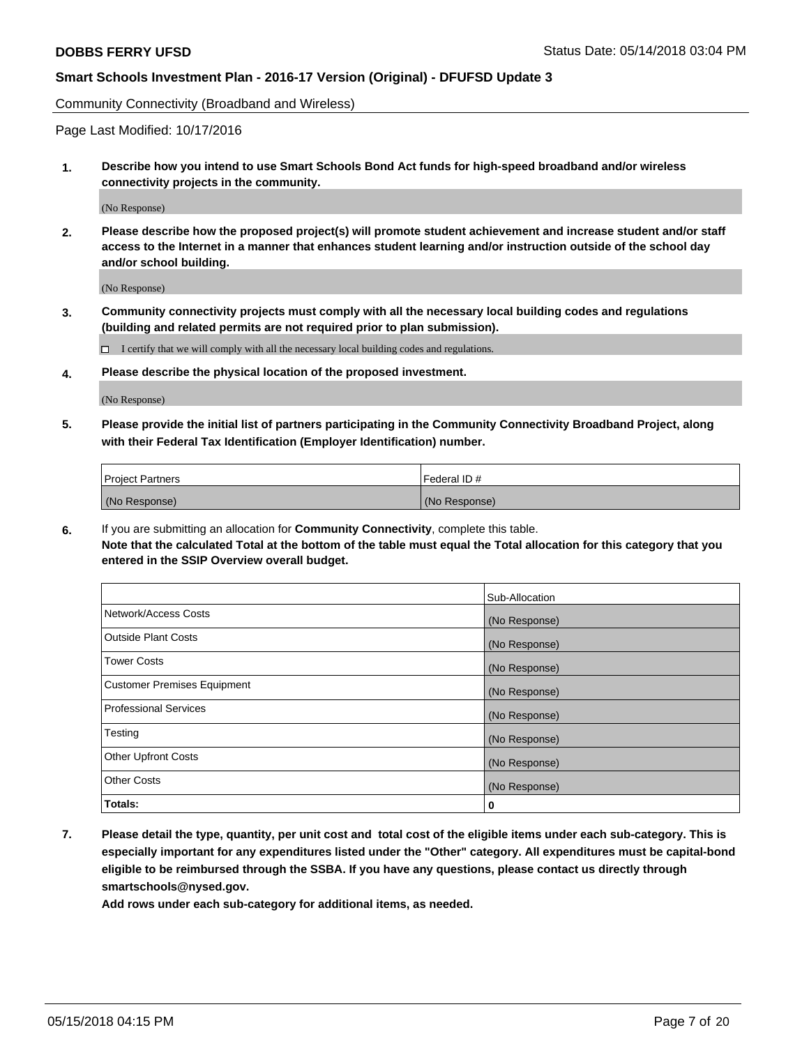Community Connectivity (Broadband and Wireless)

Page Last Modified: 10/17/2016

**1. Describe how you intend to use Smart Schools Bond Act funds for high-speed broadband and/or wireless connectivity projects in the community.**

(No Response)

**2. Please describe how the proposed project(s) will promote student achievement and increase student and/or staff access to the Internet in a manner that enhances student learning and/or instruction outside of the school day and/or school building.**

(No Response)

**3. Community connectivity projects must comply with all the necessary local building codes and regulations (building and related permits are not required prior to plan submission).**

 $\Box$  I certify that we will comply with all the necessary local building codes and regulations.

**4. Please describe the physical location of the proposed investment.**

(No Response)

**5. Please provide the initial list of partners participating in the Community Connectivity Broadband Project, along with their Federal Tax Identification (Employer Identification) number.**

| <b>Project Partners</b> | l Federal ID # |
|-------------------------|----------------|
| (No Response)           | (No Response)  |

**6.** If you are submitting an allocation for **Community Connectivity**, complete this table. **Note that the calculated Total at the bottom of the table must equal the Total allocation for this category that you entered in the SSIP Overview overall budget.**

|                                    | Sub-Allocation |
|------------------------------------|----------------|
| Network/Access Costs               | (No Response)  |
| Outside Plant Costs                | (No Response)  |
| <b>Tower Costs</b>                 | (No Response)  |
| <b>Customer Premises Equipment</b> | (No Response)  |
| Professional Services              | (No Response)  |
| Testing                            | (No Response)  |
| <b>Other Upfront Costs</b>         | (No Response)  |
| <b>Other Costs</b>                 | (No Response)  |
| Totals:                            | 0              |

**7. Please detail the type, quantity, per unit cost and total cost of the eligible items under each sub-category. This is especially important for any expenditures listed under the "Other" category. All expenditures must be capital-bond eligible to be reimbursed through the SSBA. If you have any questions, please contact us directly through smartschools@nysed.gov.**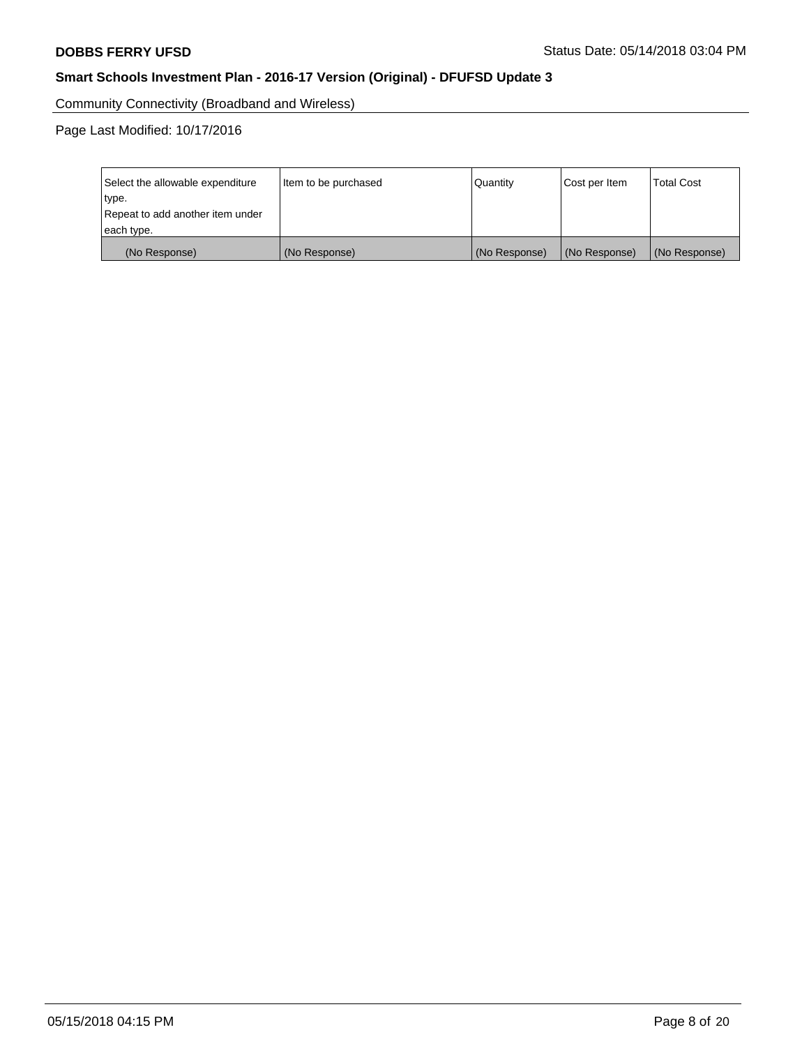Community Connectivity (Broadband and Wireless)

Page Last Modified: 10/17/2016

| Select the allowable expenditure<br>type.<br>Repeat to add another item under<br>each type. | Item to be purchased | Quantity      | Cost per Item | <b>Total Cost</b> |
|---------------------------------------------------------------------------------------------|----------------------|---------------|---------------|-------------------|
| (No Response)                                                                               | (No Response)        | (No Response) | (No Response) | (No Response)     |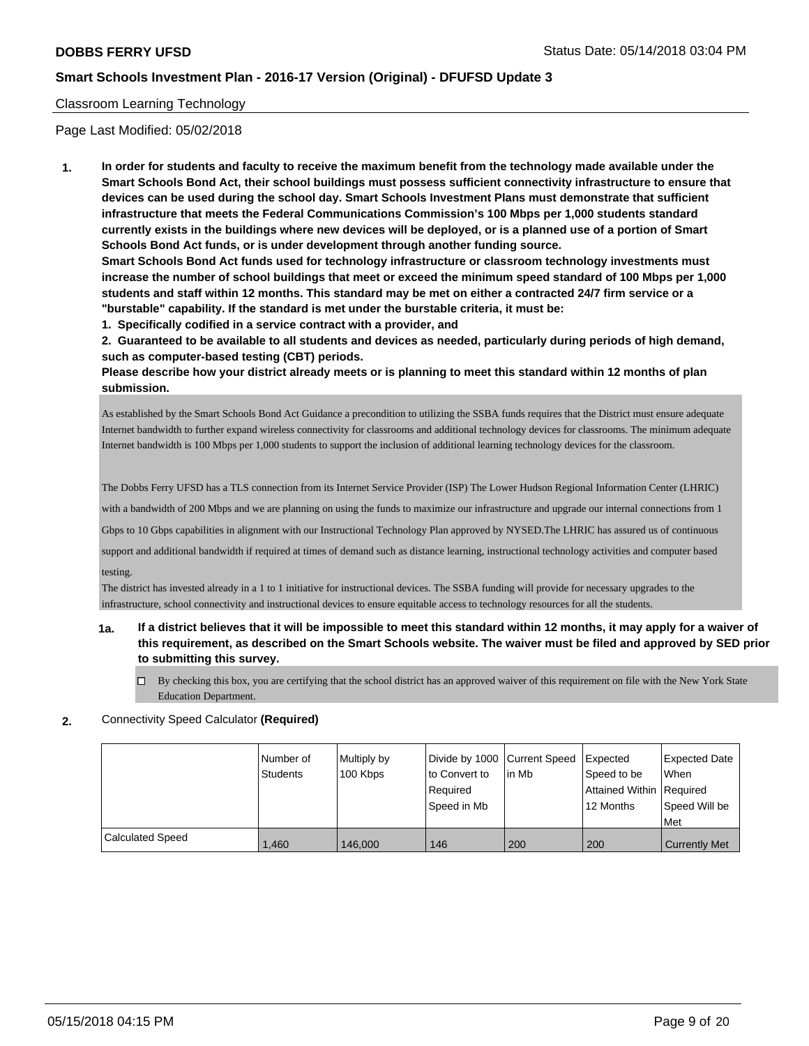#### Classroom Learning Technology

Page Last Modified: 05/02/2018

**1. In order for students and faculty to receive the maximum benefit from the technology made available under the Smart Schools Bond Act, their school buildings must possess sufficient connectivity infrastructure to ensure that devices can be used during the school day. Smart Schools Investment Plans must demonstrate that sufficient infrastructure that meets the Federal Communications Commission's 100 Mbps per 1,000 students standard currently exists in the buildings where new devices will be deployed, or is a planned use of a portion of Smart Schools Bond Act funds, or is under development through another funding source.**

**Smart Schools Bond Act funds used for technology infrastructure or classroom technology investments must increase the number of school buildings that meet or exceed the minimum speed standard of 100 Mbps per 1,000 students and staff within 12 months. This standard may be met on either a contracted 24/7 firm service or a "burstable" capability. If the standard is met under the burstable criteria, it must be:**

**1. Specifically codified in a service contract with a provider, and**

**2. Guaranteed to be available to all students and devices as needed, particularly during periods of high demand, such as computer-based testing (CBT) periods.**

**Please describe how your district already meets or is planning to meet this standard within 12 months of plan submission.**

As established by the Smart Schools Bond Act Guidance a precondition to utilizing the SSBA funds requires that the District must ensure adequate Internet bandwidth to further expand wireless connectivity for classrooms and additional technology devices for classrooms. The minimum adequate Internet bandwidth is 100 Mbps per 1,000 students to support the inclusion of additional learning technology devices for the classroom.

The Dobbs Ferry UFSD has a TLS connection from its Internet Service Provider (ISP) The Lower Hudson Regional Information Center (LHRIC)

with a bandwidth of 200 Mbps and we are planning on using the funds to maximize our infrastructure and upgrade our internal connections from 1

Gbps to 10 Gbps capabilities in alignment with our Instructional Technology Plan approved by NYSED.The LHRIC has assured us of continuous

support and additional bandwidth if required at times of demand such as distance learning, instructional technology activities and computer based testing.

The district has invested already in a 1 to 1 initiative for instructional devices. The SSBA funding will provide for necessary upgrades to the infrastructure, school connectivity and instructional devices to ensure equitable access to technology resources for all the students.

## **1a. If a district believes that it will be impossible to meet this standard within 12 months, it may apply for a waiver of this requirement, as described on the Smart Schools website. The waiver must be filed and approved by SED prior to submitting this survey.**

- By checking this box, you are certifying that the school district has an approved waiver of this requirement on file with the New York State Education Department.
- **2.** Connectivity Speed Calculator **(Required)**

|                         | l Number of<br><b>Students</b> | Multiply by<br>100 Kbps | Divide by 1000 Current Speed<br>to Convert to<br>Required<br>Speed in Mb | lin Mb | <b>Expected</b><br>Speed to be<br>Attained Within Required<br>12 Months | Expected Date<br><b>When</b><br>Speed Will be<br>Met |
|-------------------------|--------------------------------|-------------------------|--------------------------------------------------------------------------|--------|-------------------------------------------------------------------------|------------------------------------------------------|
| <b>Calculated Speed</b> |                                |                         |                                                                          |        |                                                                         |                                                      |
|                         | 1.460                          | 146,000                 | 146                                                                      | 200    | 200                                                                     | <b>Currently Met</b>                                 |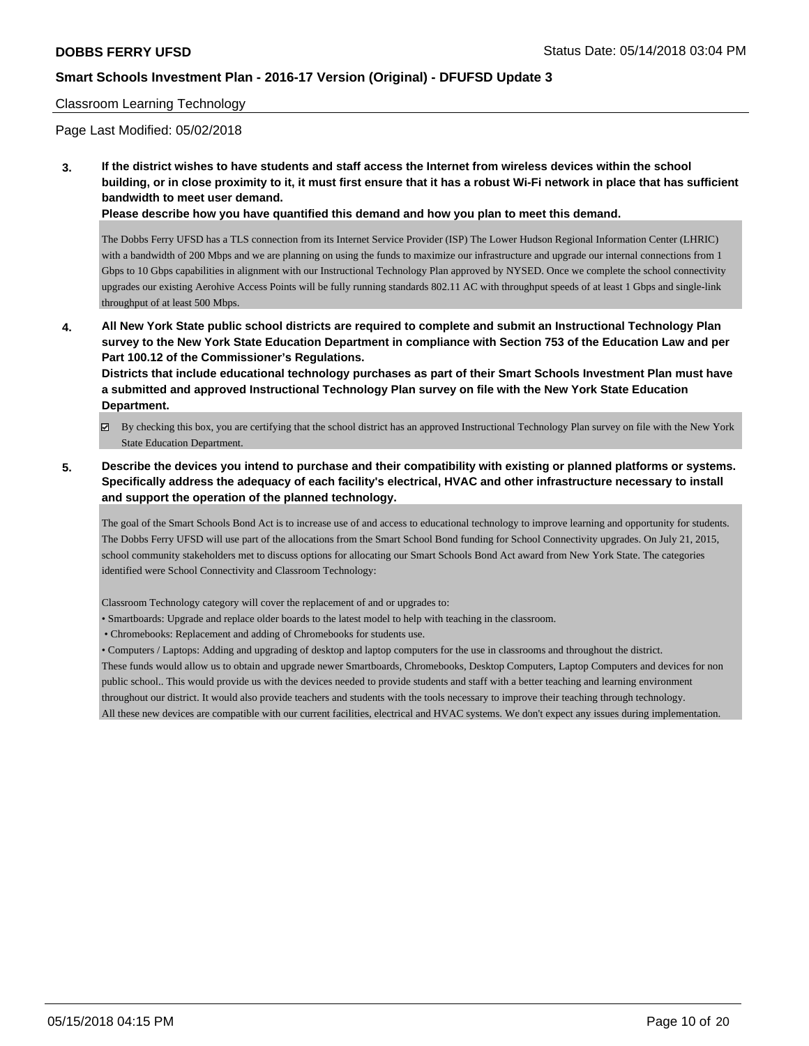#### Classroom Learning Technology

Page Last Modified: 05/02/2018

**3. If the district wishes to have students and staff access the Internet from wireless devices within the school building, or in close proximity to it, it must first ensure that it has a robust Wi-Fi network in place that has sufficient bandwidth to meet user demand.**

**Please describe how you have quantified this demand and how you plan to meet this demand.**

The Dobbs Ferry UFSD has a TLS connection from its Internet Service Provider (ISP) The Lower Hudson Regional Information Center (LHRIC) with a bandwidth of 200 Mbps and we are planning on using the funds to maximize our infrastructure and upgrade our internal connections from 1 Gbps to 10 Gbps capabilities in alignment with our Instructional Technology Plan approved by NYSED. Once we complete the school connectivity upgrades our existing Aerohive Access Points will be fully running standards 802.11 AC with throughput speeds of at least 1 Gbps and single-link throughput of at least 500 Mbps.

**4. All New York State public school districts are required to complete and submit an Instructional Technology Plan survey to the New York State Education Department in compliance with Section 753 of the Education Law and per Part 100.12 of the Commissioner's Regulations.**

**Districts that include educational technology purchases as part of their Smart Schools Investment Plan must have a submitted and approved Instructional Technology Plan survey on file with the New York State Education Department.**

- By checking this box, you are certifying that the school district has an approved Instructional Technology Plan survey on file with the New York State Education Department.
- **5. Describe the devices you intend to purchase and their compatibility with existing or planned platforms or systems. Specifically address the adequacy of each facility's electrical, HVAC and other infrastructure necessary to install and support the operation of the planned technology.**

The goal of the Smart Schools Bond Act is to increase use of and access to educational technology to improve learning and opportunity for students. The Dobbs Ferry UFSD will use part of the allocations from the Smart School Bond funding for School Connectivity upgrades. On July 21, 2015, school community stakeholders met to discuss options for allocating our Smart Schools Bond Act award from New York State. The categories identified were School Connectivity and Classroom Technology:

Classroom Technology category will cover the replacement of and or upgrades to:

- Smartboards: Upgrade and replace older boards to the latest model to help with teaching in the classroom.
- Chromebooks: Replacement and adding of Chromebooks for students use.

• Computers / Laptops: Adding and upgrading of desktop and laptop computers for the use in classrooms and throughout the district.

These funds would allow us to obtain and upgrade newer Smartboards, Chromebooks, Desktop Computers, Laptop Computers and devices for non public school.. This would provide us with the devices needed to provide students and staff with a better teaching and learning environment throughout our district. It would also provide teachers and students with the tools necessary to improve their teaching through technology. All these new devices are compatible with our current facilities, electrical and HVAC systems. We don't expect any issues during implementation.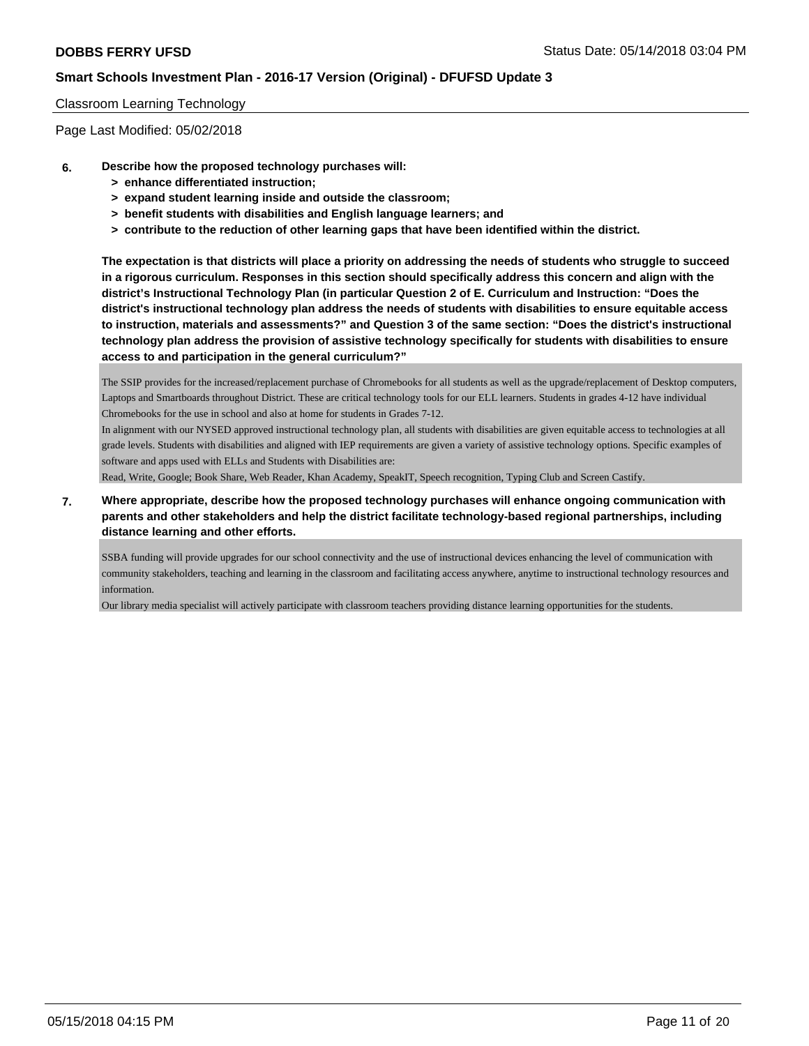#### Classroom Learning Technology

Page Last Modified: 05/02/2018

- **6. Describe how the proposed technology purchases will:**
	- **> enhance differentiated instruction;**
	- **> expand student learning inside and outside the classroom;**
	- **> benefit students with disabilities and English language learners; and**
	- **> contribute to the reduction of other learning gaps that have been identified within the district.**

**The expectation is that districts will place a priority on addressing the needs of students who struggle to succeed in a rigorous curriculum. Responses in this section should specifically address this concern and align with the district's Instructional Technology Plan (in particular Question 2 of E. Curriculum and Instruction: "Does the district's instructional technology plan address the needs of students with disabilities to ensure equitable access to instruction, materials and assessments?" and Question 3 of the same section: "Does the district's instructional technology plan address the provision of assistive technology specifically for students with disabilities to ensure access to and participation in the general curriculum?"**

The SSIP provides for the increased/replacement purchase of Chromebooks for all students as well as the upgrade/replacement of Desktop computers, Laptops and Smartboards throughout District. These are critical technology tools for our ELL learners. Students in grades 4-12 have individual Chromebooks for the use in school and also at home for students in Grades 7-12.

In alignment with our NYSED approved instructional technology plan, all students with disabilities are given equitable access to technologies at all grade levels. Students with disabilities and aligned with IEP requirements are given a variety of assistive technology options. Specific examples of software and apps used with ELLs and Students with Disabilities are:

Read, Write, Google; Book Share, Web Reader, Khan Academy, SpeakIT, Speech recognition, Typing Club and Screen Castify.

**7. Where appropriate, describe how the proposed technology purchases will enhance ongoing communication with parents and other stakeholders and help the district facilitate technology-based regional partnerships, including distance learning and other efforts.**

SSBA funding will provide upgrades for our school connectivity and the use of instructional devices enhancing the level of communication with community stakeholders, teaching and learning in the classroom and facilitating access anywhere, anytime to instructional technology resources and information.

Our library media specialist will actively participate with classroom teachers providing distance learning opportunities for the students.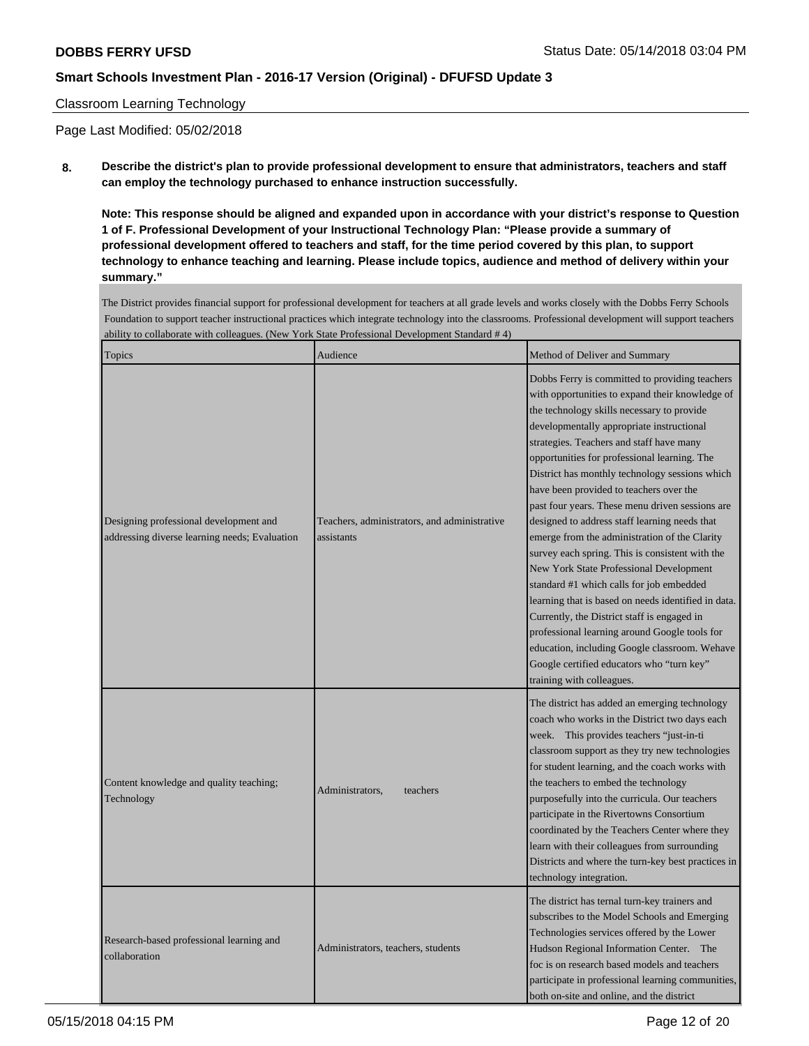#### Classroom Learning Technology

Page Last Modified: 05/02/2018

**8. Describe the district's plan to provide professional development to ensure that administrators, teachers and staff can employ the technology purchased to enhance instruction successfully.**

**Note: This response should be aligned and expanded upon in accordance with your district's response to Question 1 of F. Professional Development of your Instructional Technology Plan: "Please provide a summary of professional development offered to teachers and staff, for the time period covered by this plan, to support technology to enhance teaching and learning. Please include topics, audience and method of delivery within your summary."**

The District provides financial support for professional development for teachers at all grade levels and works closely with the Dobbs Ferry Schools Foundation to support teacher instructional practices which integrate technology into the classrooms. Professional development will support teachers ability to collaborate with colleagues. (New York State Professional Development Standard # 4)

| Topics                                                                                  | Audience                                                   | Method of Deliver and Summary                                                                                                                                                                                                                                                                                                                                                                                                                                                                                                                                                                                                                                                                                                                                                                                                                                                                                                                                          |  |
|-----------------------------------------------------------------------------------------|------------------------------------------------------------|------------------------------------------------------------------------------------------------------------------------------------------------------------------------------------------------------------------------------------------------------------------------------------------------------------------------------------------------------------------------------------------------------------------------------------------------------------------------------------------------------------------------------------------------------------------------------------------------------------------------------------------------------------------------------------------------------------------------------------------------------------------------------------------------------------------------------------------------------------------------------------------------------------------------------------------------------------------------|--|
| Designing professional development and<br>addressing diverse learning needs; Evaluation | Teachers, administrators, and administrative<br>assistants | Dobbs Ferry is committed to providing teachers<br>with opportunities to expand their knowledge of<br>the technology skills necessary to provide<br>developmentally appropriate instructional<br>strategies. Teachers and staff have many<br>opportunities for professional learning. The<br>District has monthly technology sessions which<br>have been provided to teachers over the<br>past four years. These menu driven sessions are<br>designed to address staff learning needs that<br>emerge from the administration of the Clarity<br>survey each spring. This is consistent with the<br>New York State Professional Development<br>standard #1 which calls for job embedded<br>learning that is based on needs identified in data.<br>Currently, the District staff is engaged in<br>professional learning around Google tools for<br>education, including Google classroom. Wehave<br>Google certified educators who "turn key"<br>training with colleagues. |  |
| Content knowledge and quality teaching;<br>Technology                                   | Administrators,<br>teachers                                | The district has added an emerging technology<br>coach who works in the District two days each<br>week. This provides teachers "just-in-ti<br>classroom support as they try new technologies<br>for student learning, and the coach works with<br>the teachers to embed the technology<br>purposefully into the curricula. Our teachers<br>participate in the Rivertowns Consortium<br>coordinated by the Teachers Center where they<br>learn with their colleagues from surrounding<br>Districts and where the turn-key best practices in<br>technology integration.                                                                                                                                                                                                                                                                                                                                                                                                  |  |
| Research-based professional learning and<br>collaboration                               | Administrators, teachers, students                         | The district has ternal turn-key trainers and<br>subscribes to the Model Schools and Emerging<br>Technologies services offered by the Lower<br>Hudson Regional Information Center. The<br>foc is on research based models and teachers<br>participate in professional learning communities,<br>both on-site and online, and the district                                                                                                                                                                                                                                                                                                                                                                                                                                                                                                                                                                                                                               |  |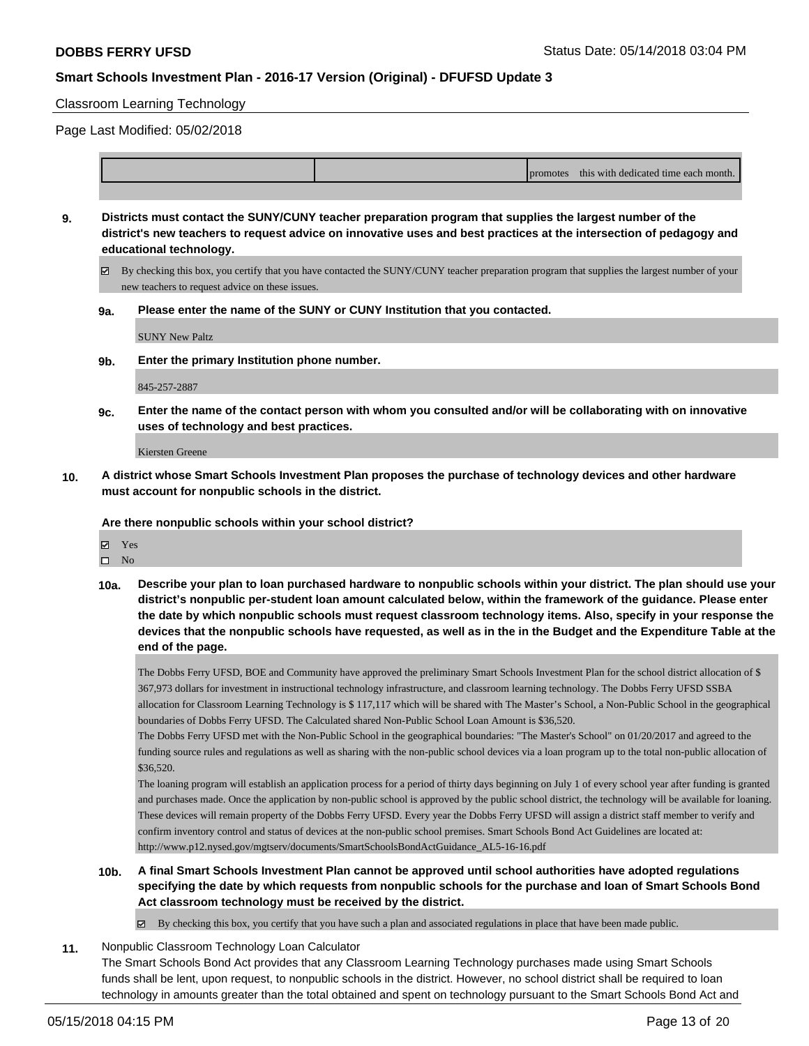#### Classroom Learning Technology

Page Last Modified: 05/02/2018

|  | <b>promotes</b> | this with dedicated time each month. |
|--|-----------------|--------------------------------------|
|  |                 |                                      |

**9. Districts must contact the SUNY/CUNY teacher preparation program that supplies the largest number of the district's new teachers to request advice on innovative uses and best practices at the intersection of pedagogy and educational technology.**

By checking this box, you certify that you have contacted the SUNY/CUNY teacher preparation program that supplies the largest number of your new teachers to request advice on these issues.

**9a. Please enter the name of the SUNY or CUNY Institution that you contacted.**

SUNY New Paltz

**9b. Enter the primary Institution phone number.**

845-257-2887

**9c. Enter the name of the contact person with whom you consulted and/or will be collaborating with on innovative uses of technology and best practices.**

Kiersten Greene

**10. A district whose Smart Schools Investment Plan proposes the purchase of technology devices and other hardware must account for nonpublic schools in the district.**

**Are there nonpublic schools within your school district?**

- Yes
- $\hfill \square$  No
- **10a. Describe your plan to loan purchased hardware to nonpublic schools within your district. The plan should use your district's nonpublic per-student loan amount calculated below, within the framework of the guidance. Please enter the date by which nonpublic schools must request classroom technology items. Also, specify in your response the devices that the nonpublic schools have requested, as well as in the in the Budget and the Expenditure Table at the end of the page.**

The Dobbs Ferry UFSD, BOE and Community have approved the preliminary Smart Schools Investment Plan for the school district allocation of \$ 367,973 dollars for investment in instructional technology infrastructure, and classroom learning technology. The Dobbs Ferry UFSD SSBA allocation for Classroom Learning Technology is \$ 117,117 which will be shared with The Master's School, a Non-Public School in the geographical boundaries of Dobbs Ferry UFSD. The Calculated shared Non-Public School Loan Amount is \$36,520.

The Dobbs Ferry UFSD met with the Non-Public School in the geographical boundaries: "The Master's School" on 01/20/2017 and agreed to the funding source rules and regulations as well as sharing with the non-public school devices via a loan program up to the total non-public allocation of \$36,520.

The loaning program will establish an application process for a period of thirty days beginning on July 1 of every school year after funding is granted and purchases made. Once the application by non-public school is approved by the public school district, the technology will be available for loaning. These devices will remain property of the Dobbs Ferry UFSD. Every year the Dobbs Ferry UFSD will assign a district staff member to verify and confirm inventory control and status of devices at the non-public school premises. Smart Schools Bond Act Guidelines are located at: http://www.p12.nysed.gov/mgtserv/documents/SmartSchoolsBondActGuidance\_AL5-16-16.pdf

**10b. A final Smart Schools Investment Plan cannot be approved until school authorities have adopted regulations specifying the date by which requests from nonpublic schools for the purchase and loan of Smart Schools Bond Act classroom technology must be received by the district.**

 $\boxtimes$  By checking this box, you certify that you have such a plan and associated regulations in place that have been made public.

**11.** Nonpublic Classroom Technology Loan Calculator

The Smart Schools Bond Act provides that any Classroom Learning Technology purchases made using Smart Schools funds shall be lent, upon request, to nonpublic schools in the district. However, no school district shall be required to loan technology in amounts greater than the total obtained and spent on technology pursuant to the Smart Schools Bond Act and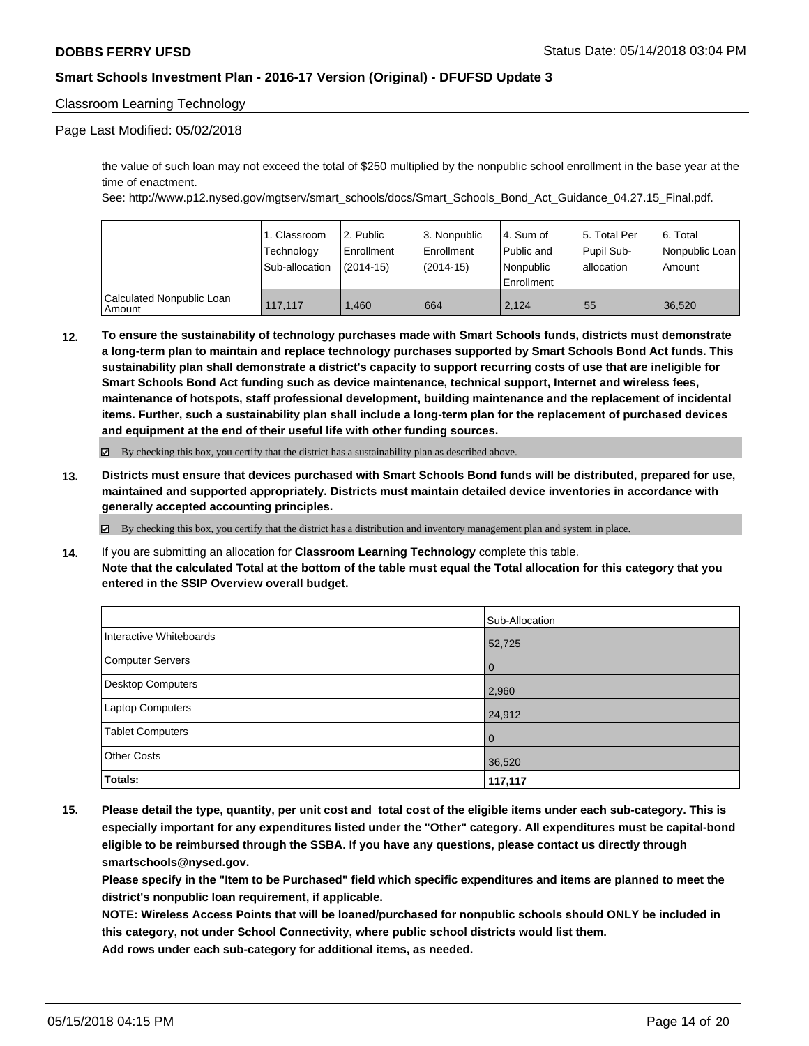#### Classroom Learning Technology

#### Page Last Modified: 05/02/2018

the value of such loan may not exceed the total of \$250 multiplied by the nonpublic school enrollment in the base year at the time of enactment.

See: http://www.p12.nysed.gov/mgtserv/smart\_schools/docs/Smart\_Schools\_Bond\_Act\_Guidance\_04.27.15\_Final.pdf.

|                                       | 1. Classroom<br>Technology | 12. Public<br>Enrollment | 3. Nonpublic<br>Enrollment | l 4. Sum of<br>Public and | 15. Total Per<br>Pupil Sub- | 6. Total<br>l Nonpublic Loan I |
|---------------------------------------|----------------------------|--------------------------|----------------------------|---------------------------|-----------------------------|--------------------------------|
|                                       | Sub-allocation             | $(2014-15)$              | $(2014-15)$                | l Nonpublic<br>Enrollment | lallocation                 | Amount                         |
|                                       |                            |                          |                            |                           |                             |                                |
| Calculated Nonpublic Loan<br>l Amount | 117.117                    | .460                     | 664                        | 2.124                     | 55                          | 36.520                         |

**12. To ensure the sustainability of technology purchases made with Smart Schools funds, districts must demonstrate a long-term plan to maintain and replace technology purchases supported by Smart Schools Bond Act funds. This sustainability plan shall demonstrate a district's capacity to support recurring costs of use that are ineligible for Smart Schools Bond Act funding such as device maintenance, technical support, Internet and wireless fees, maintenance of hotspots, staff professional development, building maintenance and the replacement of incidental items. Further, such a sustainability plan shall include a long-term plan for the replacement of purchased devices and equipment at the end of their useful life with other funding sources.**

By checking this box, you certify that the district has a sustainability plan as described above.

**13. Districts must ensure that devices purchased with Smart Schools Bond funds will be distributed, prepared for use, maintained and supported appropriately. Districts must maintain detailed device inventories in accordance with generally accepted accounting principles.**

By checking this box, you certify that the district has a distribution and inventory management plan and system in place.

**14.** If you are submitting an allocation for **Classroom Learning Technology** complete this table. **Note that the calculated Total at the bottom of the table must equal the Total allocation for this category that you entered in the SSIP Overview overall budget.**

|                          | Sub-Allocation |
|--------------------------|----------------|
| Interactive Whiteboards  | 52,725         |
| <b>Computer Servers</b>  | l 0            |
| <b>Desktop Computers</b> | 2,960          |
| Laptop Computers         | 24,912         |
| <b>Tablet Computers</b>  | l 0            |
| <b>Other Costs</b>       | 36,520         |
| Totals:                  | 117,117        |

**15. Please detail the type, quantity, per unit cost and total cost of the eligible items under each sub-category. This is especially important for any expenditures listed under the "Other" category. All expenditures must be capital-bond eligible to be reimbursed through the SSBA. If you have any questions, please contact us directly through smartschools@nysed.gov.**

**Please specify in the "Item to be Purchased" field which specific expenditures and items are planned to meet the district's nonpublic loan requirement, if applicable.**

**NOTE: Wireless Access Points that will be loaned/purchased for nonpublic schools should ONLY be included in this category, not under School Connectivity, where public school districts would list them. Add rows under each sub-category for additional items, as needed.**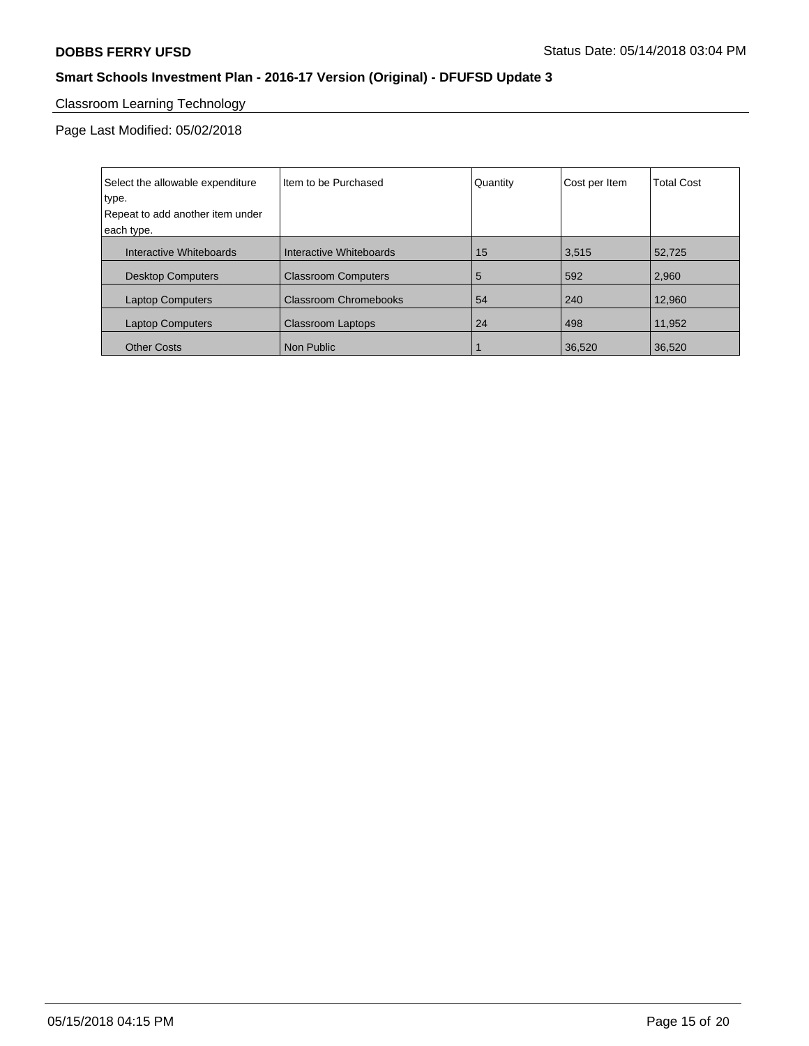## Classroom Learning Technology

| Select the allowable expenditure | I Item to be Purchased       | Quantity | Cost per Item | <b>Total Cost</b> |
|----------------------------------|------------------------------|----------|---------------|-------------------|
| type.                            |                              |          |               |                   |
| Repeat to add another item under |                              |          |               |                   |
| each type.                       |                              |          |               |                   |
| Interactive Whiteboards          | Interactive Whiteboards      | 15       | 3,515         | 52,725            |
| <b>Desktop Computers</b>         | <b>Classroom Computers</b>   | 5        | 592           | 2,960             |
| <b>Laptop Computers</b>          | <b>Classroom Chromebooks</b> | 54       | 240           | 12.960            |
| <b>Laptop Computers</b>          | <b>Classroom Laptops</b>     | 24       | 498           | 11,952            |
| <b>Other Costs</b>               | Non Public                   |          | 36,520        | 36,520            |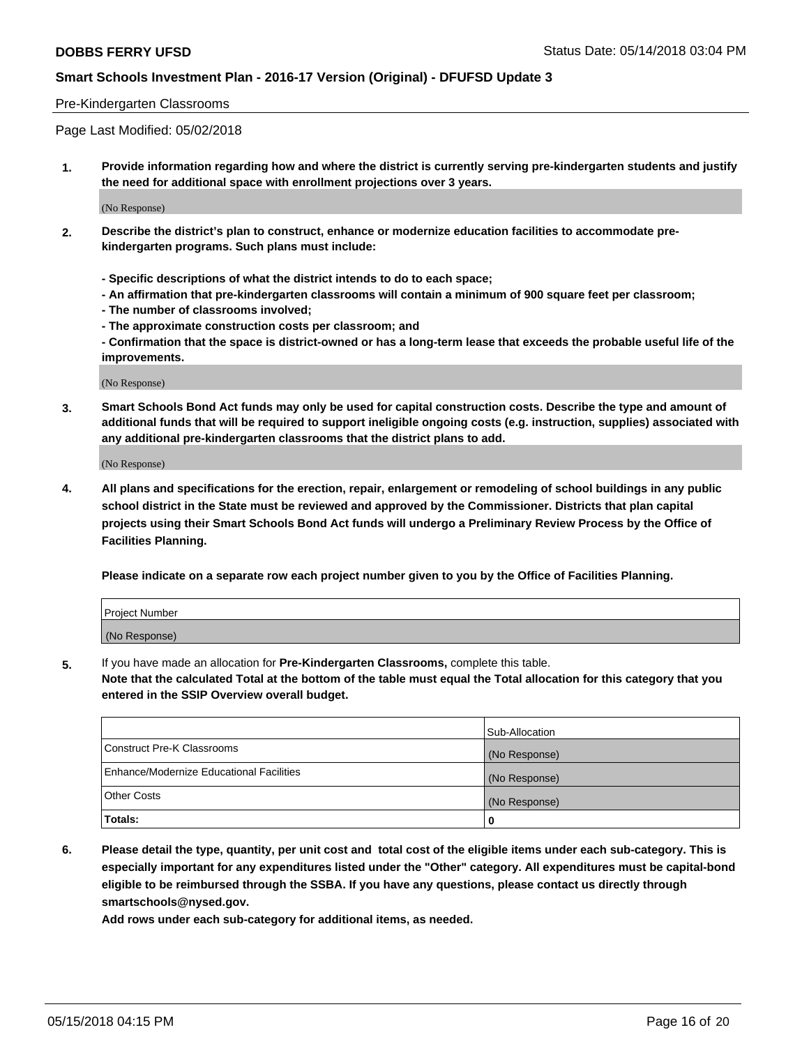#### Pre-Kindergarten Classrooms

Page Last Modified: 05/02/2018

**1. Provide information regarding how and where the district is currently serving pre-kindergarten students and justify the need for additional space with enrollment projections over 3 years.**

(No Response)

- **2. Describe the district's plan to construct, enhance or modernize education facilities to accommodate prekindergarten programs. Such plans must include:**
	- **Specific descriptions of what the district intends to do to each space;**
	- **An affirmation that pre-kindergarten classrooms will contain a minimum of 900 square feet per classroom;**
	- **The number of classrooms involved;**
	- **The approximate construction costs per classroom; and**
	- **Confirmation that the space is district-owned or has a long-term lease that exceeds the probable useful life of the improvements.**

(No Response)

**3. Smart Schools Bond Act funds may only be used for capital construction costs. Describe the type and amount of additional funds that will be required to support ineligible ongoing costs (e.g. instruction, supplies) associated with any additional pre-kindergarten classrooms that the district plans to add.**

(No Response)

**4. All plans and specifications for the erection, repair, enlargement or remodeling of school buildings in any public school district in the State must be reviewed and approved by the Commissioner. Districts that plan capital projects using their Smart Schools Bond Act funds will undergo a Preliminary Review Process by the Office of Facilities Planning.**

**Please indicate on a separate row each project number given to you by the Office of Facilities Planning.**

| <b>Project Number</b> |  |
|-----------------------|--|
| (No Response)         |  |

**5.** If you have made an allocation for **Pre-Kindergarten Classrooms,** complete this table.

**Note that the calculated Total at the bottom of the table must equal the Total allocation for this category that you entered in the SSIP Overview overall budget.**

|                                          | Sub-Allocation |
|------------------------------------------|----------------|
| Construct Pre-K Classrooms               | (No Response)  |
| Enhance/Modernize Educational Facilities | (No Response)  |
| Other Costs                              | (No Response)  |
| Totals:                                  | 0              |

**6. Please detail the type, quantity, per unit cost and total cost of the eligible items under each sub-category. This is especially important for any expenditures listed under the "Other" category. All expenditures must be capital-bond eligible to be reimbursed through the SSBA. If you have any questions, please contact us directly through smartschools@nysed.gov.**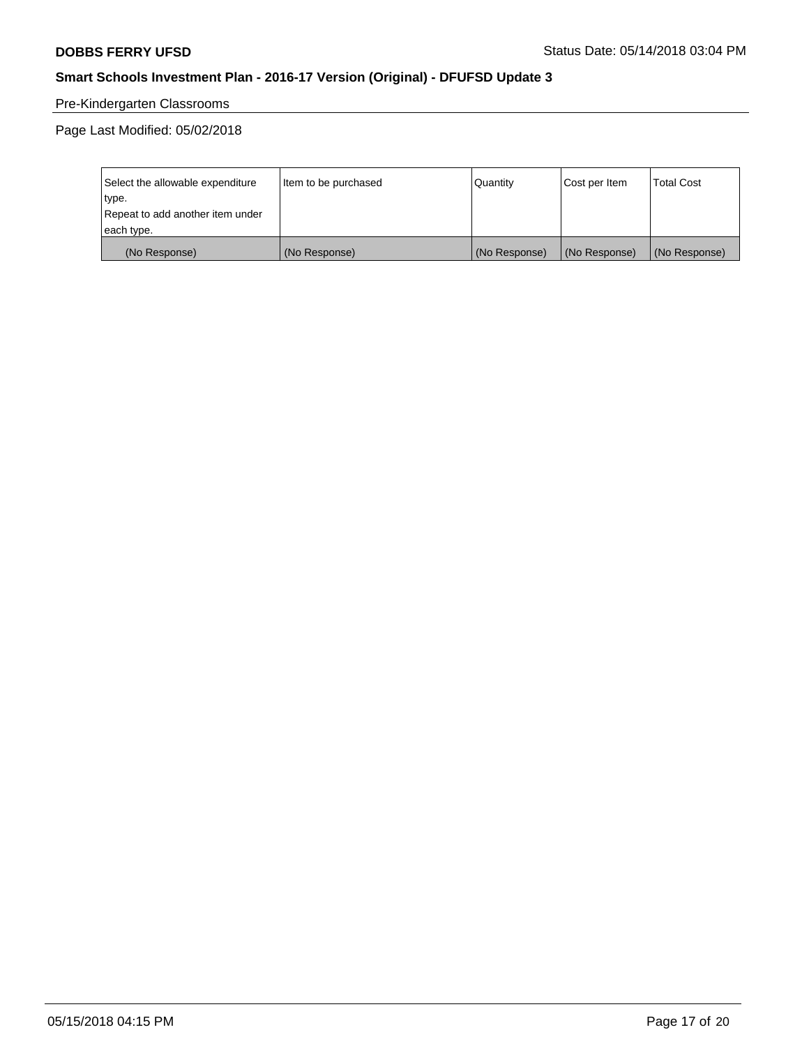## Pre-Kindergarten Classrooms

| Select the allowable expenditure | Item to be purchased | Quantity      | Cost per Item | <b>Total Cost</b> |
|----------------------------------|----------------------|---------------|---------------|-------------------|
| type.                            |                      |               |               |                   |
| Repeat to add another item under |                      |               |               |                   |
| each type.                       |                      |               |               |                   |
| (No Response)                    | (No Response)        | (No Response) | (No Response) | (No Response)     |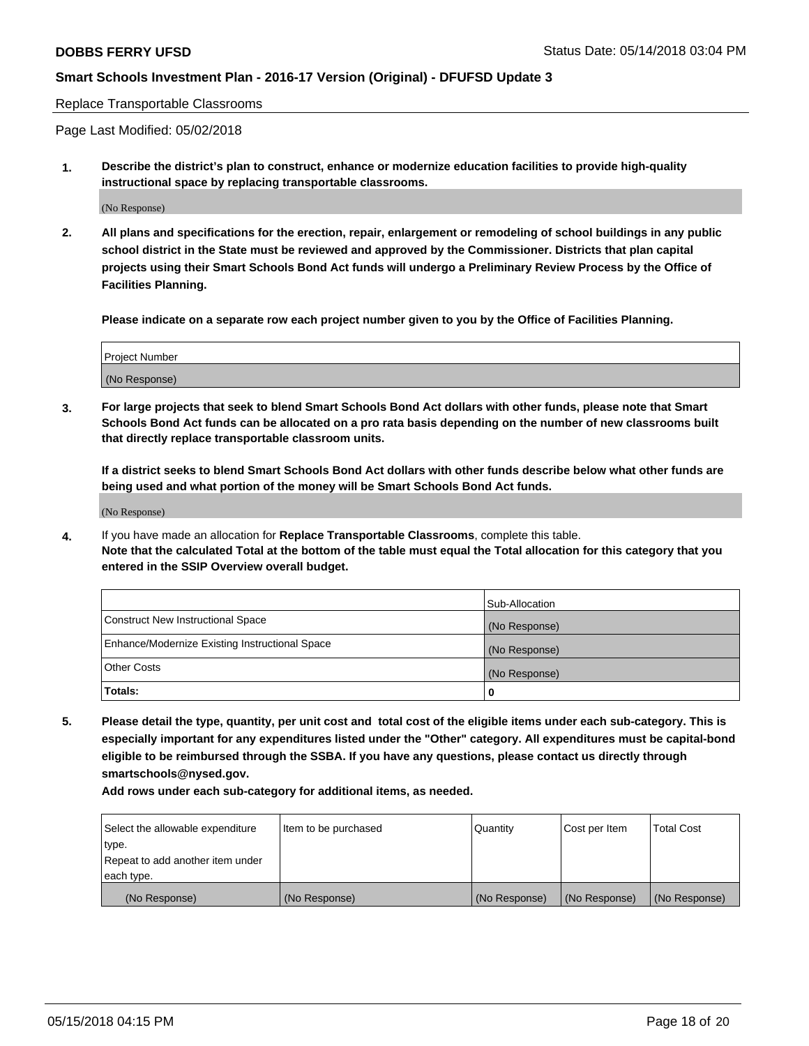Replace Transportable Classrooms

Page Last Modified: 05/02/2018

**1. Describe the district's plan to construct, enhance or modernize education facilities to provide high-quality instructional space by replacing transportable classrooms.**

(No Response)

**2. All plans and specifications for the erection, repair, enlargement or remodeling of school buildings in any public school district in the State must be reviewed and approved by the Commissioner. Districts that plan capital projects using their Smart Schools Bond Act funds will undergo a Preliminary Review Process by the Office of Facilities Planning.**

**Please indicate on a separate row each project number given to you by the Office of Facilities Planning.**

| <b>Project Number</b> |  |
|-----------------------|--|
| (No Response)         |  |
|                       |  |

**3. For large projects that seek to blend Smart Schools Bond Act dollars with other funds, please note that Smart Schools Bond Act funds can be allocated on a pro rata basis depending on the number of new classrooms built that directly replace transportable classroom units.**

**If a district seeks to blend Smart Schools Bond Act dollars with other funds describe below what other funds are being used and what portion of the money will be Smart Schools Bond Act funds.**

(No Response)

**4.** If you have made an allocation for **Replace Transportable Classrooms**, complete this table. **Note that the calculated Total at the bottom of the table must equal the Total allocation for this category that you entered in the SSIP Overview overall budget.**

|                                                | Sub-Allocation |
|------------------------------------------------|----------------|
| Construct New Instructional Space              | (No Response)  |
| Enhance/Modernize Existing Instructional Space | (No Response)  |
| Other Costs                                    | (No Response)  |
| Totals:                                        | 0              |

**5. Please detail the type, quantity, per unit cost and total cost of the eligible items under each sub-category. This is especially important for any expenditures listed under the "Other" category. All expenditures must be capital-bond eligible to be reimbursed through the SSBA. If you have any questions, please contact us directly through smartschools@nysed.gov.**

| Select the allowable expenditure<br>type. | Item to be purchased | Quantity      | Cost per Item | <b>Total Cost</b> |
|-------------------------------------------|----------------------|---------------|---------------|-------------------|
| Repeat to add another item under          |                      |               |               |                   |
| each type.                                |                      |               |               |                   |
| (No Response)                             | (No Response)        | (No Response) | (No Response) | (No Response)     |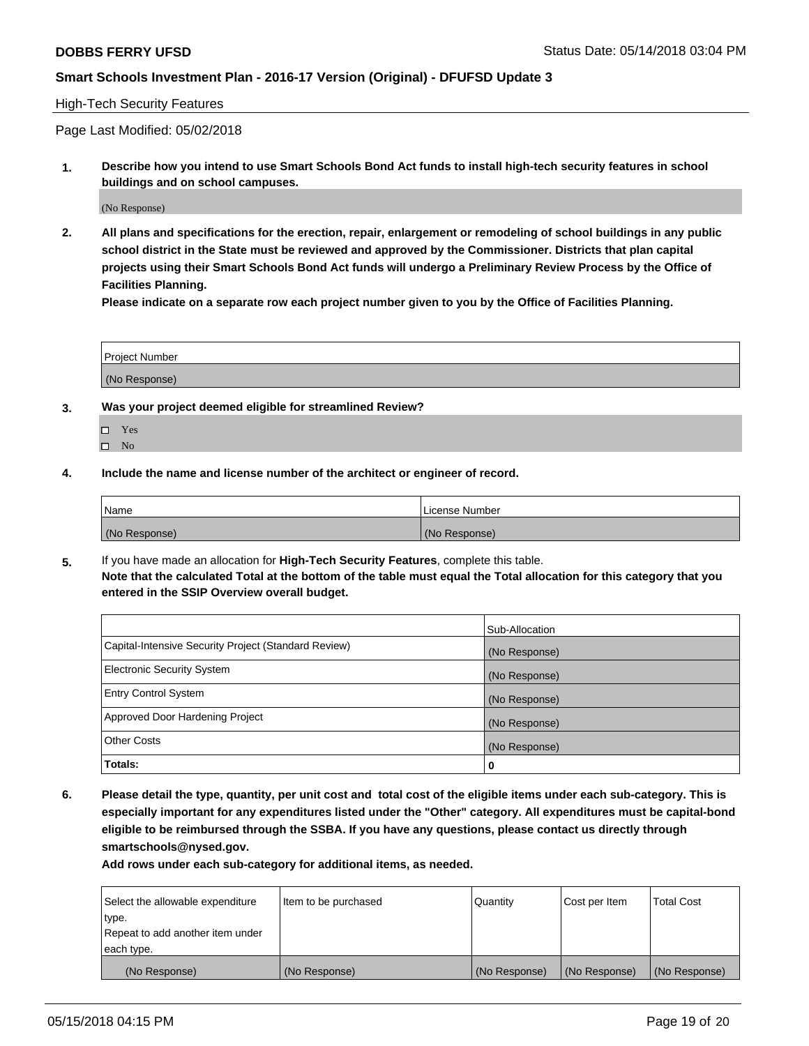#### High-Tech Security Features

Page Last Modified: 05/02/2018

**1. Describe how you intend to use Smart Schools Bond Act funds to install high-tech security features in school buildings and on school campuses.**

(No Response)

**2. All plans and specifications for the erection, repair, enlargement or remodeling of school buildings in any public school district in the State must be reviewed and approved by the Commissioner. Districts that plan capital projects using their Smart Schools Bond Act funds will undergo a Preliminary Review Process by the Office of Facilities Planning.** 

**Please indicate on a separate row each project number given to you by the Office of Facilities Planning.**

| <b>Project Number</b> |  |  |
|-----------------------|--|--|
|                       |  |  |
| (No Response)         |  |  |

- **3. Was your project deemed eligible for streamlined Review?**
	- Yes  $\square$  No
- **4. Include the name and license number of the architect or engineer of record.**

| Name          | License Number |
|---------------|----------------|
| (No Response) | (No Response)  |

**5.** If you have made an allocation for **High-Tech Security Features**, complete this table. **Note that the calculated Total at the bottom of the table must equal the Total allocation for this category that you entered in the SSIP Overview overall budget.**

|                                                      | Sub-Allocation |
|------------------------------------------------------|----------------|
| Capital-Intensive Security Project (Standard Review) | (No Response)  |
| <b>Electronic Security System</b>                    | (No Response)  |
| <b>Entry Control System</b>                          | (No Response)  |
| Approved Door Hardening Project                      | (No Response)  |
| <b>Other Costs</b>                                   | (No Response)  |
| Totals:                                              | 0              |

**6. Please detail the type, quantity, per unit cost and total cost of the eligible items under each sub-category. This is especially important for any expenditures listed under the "Other" category. All expenditures must be capital-bond eligible to be reimbursed through the SSBA. If you have any questions, please contact us directly through smartschools@nysed.gov.**

| Select the allowable expenditure | Item to be purchased | Quantity      | Cost per Item | <b>Total Cost</b> |
|----------------------------------|----------------------|---------------|---------------|-------------------|
| type.                            |                      |               |               |                   |
| Repeat to add another item under |                      |               |               |                   |
| each type.                       |                      |               |               |                   |
| (No Response)                    | (No Response)        | (No Response) | (No Response) | (No Response)     |